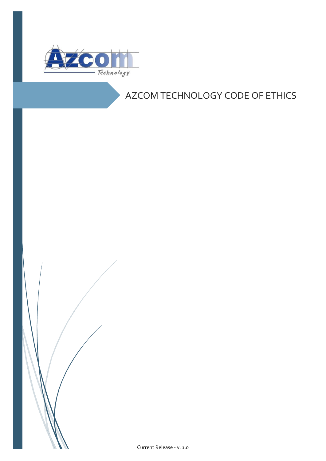

# AZCOM TECHNOLOGY CODE OF ETHICS

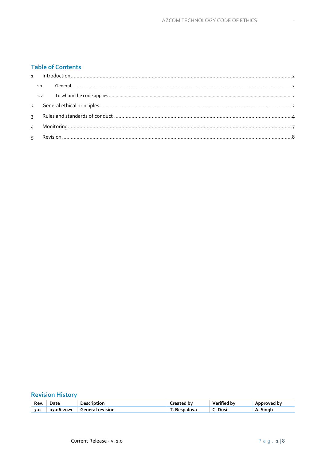# **Table of Contents**

# **Revision History**

| Rev | Jate       | Description             | reated by: | Verified by | Approved bv |
|-----|------------|-------------------------|------------|-------------|-------------|
| 3.0 | 07.06.2021 | <b>General revision</b> | Bespalova  | Dusi        | Sınar<br>А. |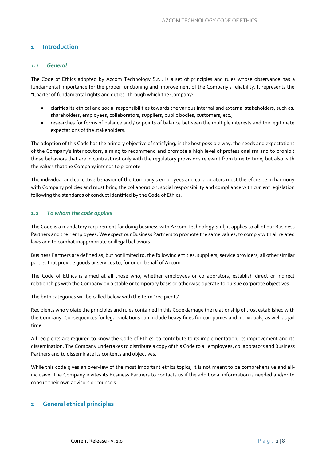## <span id="page-2-1"></span><span id="page-2-0"></span>**1 Introduction**

#### *1.1 General*

The Code of Ethics adopted by Azcom Technology S.r.l. is a set of principles and rules whose observance has a fundamental importance for the proper functioning and improvement of the Company's reliability. It represents the "Charter of fundamental rights and duties" through which the Company:

- clarifies its ethical and social responsibilities towards the various internal and external stakeholders, such as: shareholders, employees, collaborators, suppliers, public bodies, customers, etc.;
- researches for forms of balance and / or points of balance between the multiple interests and the legitimate expectations of the stakeholders.

The adoption of this Code has the primary objective of satisfying, in the best possible way, the needs and expectations of the Company's interlocutors, aiming to recommend and promote a high level of professionalism and to prohibit those behaviors that are in contrast not only with the regulatory provisions relevant from time to time, but also with the values that the Company intends to promote.

The individual and collective behavior of the Company's employees and collaborators must therefore be in harmony with Company policies and must bring the collaboration, social responsibility and compliance with current legislation following the standards of conduct identified by the Code of Ethics.

#### <span id="page-2-2"></span>*1.2 To whom the code applies*

The Code is a mandatory requirement for doing business with Azcom Technology S.r.l, it applies to all of our Business Partners and their employees. We expect our Business Partners to promote the same values, to comply with all related laws and to combat inappropriate or illegal behaviors.

Business Partners are defined as, but not limited to, the following entities: suppliers, service providers, all other similar parties that provide goods or services to, for or on behalf of Azcom.

The Code of Ethics is aimed at all those who, whether employees or collaborators, establish direct or indirect relationships with the Company on a stable or temporary basis or otherwise operate to pursue corporate objectives.

The both categories will be called below with the term "recipients".

Recipients who violate the principles and rules contained in this Code damage the relationship of trust established with the Company. Consequences for legal violations can include heavy fines for companies and individuals, as well as jail time.

All recipients are required to know the Code of Ethics, to contribute to its implementation, its improvement and its dissemination. The Company undertakes to distribute a copy of this Code to all employees, collaborators and Business Partners and to disseminate its contents and objectives.

While this code gives an overview of the most important ethics topics, it is not meant to be comprehensive and allinclusive. The Company invites its Business Partners to contacts us if the additional information is needed and/or to consult their own advisors or counsels.

#### <span id="page-2-3"></span>**2 General ethical principles**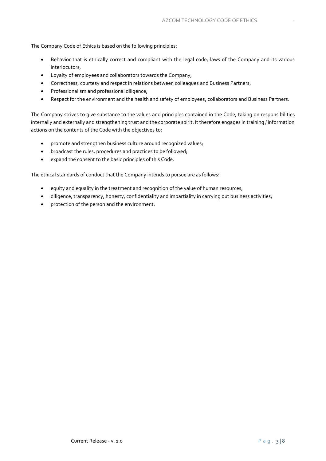The Company Code of Ethics is based on the following principles:

- Behavior that is ethically correct and compliant with the legal code, laws of the Company and its various interlocutors;
- Loyalty of employees and collaborators towards the Company;
- Correctness, courtesy and respect in relations between colleagues and Business Partners;
- Professionalism and professional diligence;
- Respect for the environment and the health and safety of employees, collaborators and Business Partners.

The Company strives to give substance to the values and principles contained in the Code, taking on responsibilities internally and externally and strengthening trust and the corporate spirit. It therefore engages in training / information actions on the contents of the Code with the objectives to:

- promote and strengthen business culture around recognized values;
- broadcast the rules, procedures and practices to be followed;
- expand the consent to the basic principles of this Code.

The ethical standards of conduct that the Company intends to pursue are as follows:

- equity and equality in the treatment and recognition of the value of human resources;
- diligence, transparency, honesty, confidentiality and impartiality in carrying out business activities;
- protection of the person and the environment.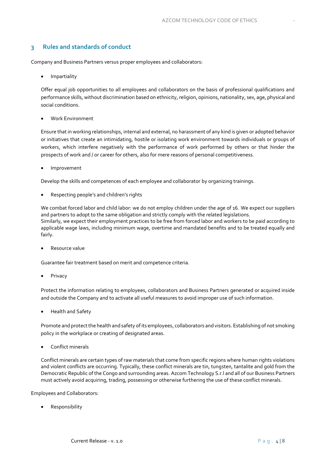## <span id="page-4-0"></span>**3 Rules and standards of conduct**

Company and Business Partners versus proper employees and collaborators:

**Impartiality** 

Offer equal job opportunities to all employees and collaborators on the basis of professional qualifications and performance skills, without discrimination based on ethnicity, religion, opinions, nationality, sex, age, physical and social conditions.

• Work Environment

Ensure that in working relationships, internal and external, no harassment of any kind is given or adopted behavior or initiatives that create an intimidating, hostile or isolating work environment towards individuals or groups of workers, which interfere negatively with the performance of work performed by others or that hinder the prospects of work and / or career for others, also for mere reasons of personal competitiveness.

• Improvement

Develop the skills and competences of each employee and collaborator by organizing trainings.

• Respecting people's and children's rights

We combat forced labor and child labor: we do not employ children under the age of 16. We expect our suppliers and partners to adopt to the same obligation and strictly comply with the related legislations. Similarly, we expect their employment practices to be free from forced labor and workers to be paid according to applicable wage laws, including minimum wage, overtime and mandated benefits and to be treated equally and fairly.

• Resource value

Guarantee fair treatment based on merit and competence criteria.

**Privacy** 

Protect the information relating to employees, collaborators and Business Partners generated or acquired inside and outside the Company and to activate all useful measures to avoid improper use of such information.

• Health and Safety

Promote and protect the health and safety of its employees, collaborators and visitors. Establishing of not smoking policy in the workplace or creating of designated areas.

• Conflict minerals

Conflict minerals are certain types of raw materials that come from specific regions where human rights violations and violent conflicts are occurring. Typically, these conflict minerals are tin, tungsten, tantalite and gold from the Democratic Republic of the Congo and surrounding areas. Azcom Technology S.r.l and all of our Business Partners must actively avoid acquiring, trading, possessing or otherwise furthering the use of these conflict minerals.

Employees and Collaborators:

• Responsibility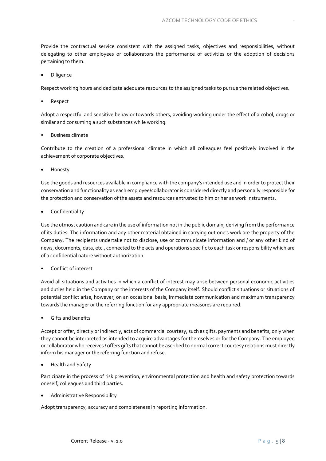Provide the contractual service consistent with the assigned tasks, objectives and responsibilities, without delegating to other employees or collaborators the performance of activities or the adoption of decisions pertaining to them.

• Diligence

Respect working hours and dedicate adequate resources to the assigned tasks to pursue the related objectives.

**Respect** 

Adopt a respectful and sensitive behavior towards others, avoiding working under the effect of alcohol, drugs or similar and consuming a such substances while working.

• Business climate

Contribute to the creation of a professional climate in which all colleagues feel positively involved in the achievement of corporate objectives.

• Honesty

Use the goods and resources available in compliance with the company's intended use and in order to protect their conservation and functionality as each employee/collaborator is considered directly and personally responsible for the protection and conservation of the assets and resources entrusted to him or her as work instruments.

• Confidentiality

Use the utmost caution and care in the use of information not in the public domain, deriving from the performance of its duties. The information and any other material obtained in carrying out one's work are the property of the Company. The recipients undertake not to disclose, use or communicate information and / or any other kind of news, documents, data, etc., connected to the acts and operations specific to each task or responsibility which are of a confidential nature without authorization.

• Conflict of interest

Avoid all situations and activities in which a conflict of interest may arise between personal economic activities and duties held in the Company or the interests of the Company itself. Should conflict situations or situations of potential conflict arise, however, on an occasional basis, immediate communication and maximum transparency towards the manager or the referring function for any appropriate measures are required.

• Gifts and benefits

Accept or offer, directly or indirectly, acts of commercial courtesy, such as gifts, payments and benefits, only when they cannot be interpreted as intended to acquire advantages for themselves or for the Company. The employee or collaborator who receives / offers gifts that cannot be ascribed to normal correct courtesy relations must directly inform his manager or the referring function and refuse.

• Health and Safety

Participate in the process of risk prevention, environmental protection and health and safety protection towards oneself, colleagues and third parties.

• Administrative Responsibility

Adopt transparency, accuracy and completeness in reporting information.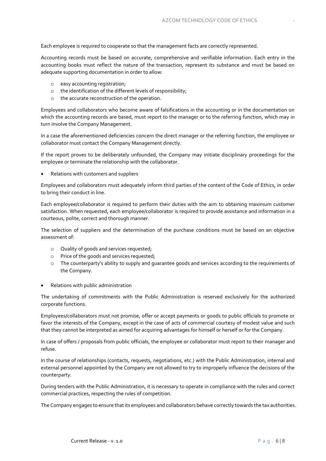Each employee is required to cooperate so that the management facts are correctly represented.

Accounting records must be based on accurate, comprehensive and verifiable information. Each entry in the accounting books must reflect the nature of the transaction, represent its substance and must be based on adequate supporting documentation in order to allow:

- o easy accounting registration;
- o the identification of the different levels of responsibility;
- o the accurate reconstruction of the operation.

Employees and collaborators who become aware of falsifications in the accounting or in the documentation on which the accounting records are based, must report to the manager or to the referring function, which may in turn involve the Company Management.

In a case the aforementioned deficiencies concern the direct manager or the referring function, the employee or collaborator must contact the Company Management directly.

If the report proves to be deliberately unfounded, the Company may initiate disciplinary proceedings for the employee or terminate the relationship with the collaborator.

• Relations with customers and suppliers

Employees and collaborators must adequately inform third parties of the content of the Code of Ethics, in order to bring their conduct in line.

Each employee/collaborator is required to perform their duties with the aim to obtaining maximum customer satisfaction. When requested, each employee/collaborator is required to provide assistance and information in a courteous, polite, correct and thorough manner.

The selection of suppliers and the determination of the purchase conditions must be based on an objective assessment of:

- o Quality of goods and services requested;
- o Price of the goods and services requested;
- o The counterparty's ability to supply and guarantee goods and services according to the requirements of the Company.
- Relations with public administration

The undertaking of commitments with the Public Administration is reserved exclusively for the authorized corporate functions.

Employees/collaborators must not promise, offer or accept payments or goods to public officials to promote or favor the interests of the Company, except in the case of acts of commercial courtesy of modest value and such that they cannot be interpreted as aimed for acquiring advantages for himself or herself or for the Company.

In case of offers / proposals from public officials, the employee or collaborator must report to their manager and refuse.

In the course of relationships (contacts, requests, negotiations, etc.) with the Public Administration, internal and external personnel appointed by the Company are not allowed to try to improperly influence the decisions of the counterparty.

During tenders with the Public Administration, it is necessary to operate in compliance with the rules and correct commercial practices, respecting the rules of competition.

The Company engages to ensure that its employees and collaborators behave correctly towards the tax authorities.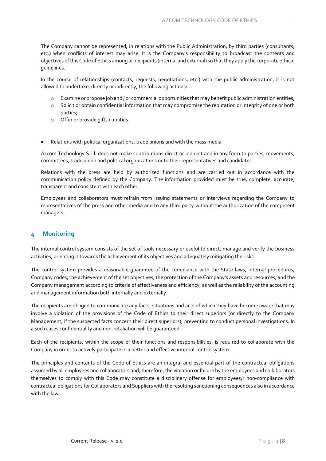The Company cannot be represented, in relations with the Public Administration, by third parties (consultants, etc.) when conflicts of interest may arise. It is the Company's responsibility to broadcast the contents and objectives of this Code of Ethics among all recipients (internal and external) so that they apply the corporate ethical guidelines.

In the course of relationships (contacts, requests, negotiations, etc.) with the public administration, it is not allowed to undertake, directly or indirectly, the following actions:

- o Examine or propose job and / or commercial opportunities that may benefit public administration entities;
- o Solicit or obtain confidential information that may compromise the reputation or integrity of one or both parties;
- o Offer or provide gifts / utilities.
- Relations with political organizations, trade unions and with the mass media

Azcom Technology S.r.l. does not make contributions direct or indirect and in any form to parties, movements, committees, trade union and political organizations or to their representatives and candidates.

Relations with the press are held by authorized functions and are carried out in accordance with the communication policy defined by the Company. The information provided must be true, complete, accurate, transparent and consistent with each other.

Employees and collaborators must refrain from issuing statements or interviews regarding the Company to representatives of the press and other media and to any third party without the authorization of the competent managers.

### <span id="page-7-0"></span>**4 Monitoring**

The internal control system consists of the set of tools necessary or useful to direct, manage and verify the business activities, orienting it towards the achievement of its objectives and adequately mitigating the risks.

The control system provides a reasonable guarantee of the compliance with the State laws, internal procedures, Company codes, the achievement of the set objectives, the protection of the Company's assets and resources, and the Company management according to criteria of effectiveness and efficiency, as well as the reliability of the accounting and management information both internally and externally.

The recipients are obliged to communicate any facts, situations and acts of which they have become aware that may involve a violation of the provisions of the Code of Ethics to their direct superiors (or directly to the Company Management, if the suspected facts concern their direct superiors), preventing to conduct personal investigations. In a such cases confidentiality and non-retaliation will be guaranteed.

Each of the recipients, within the scope of their functions and responsibilities, is required to collaborate with the Company in order to actively participate in a better and effective internal control system.

The principles and contents of the Code of Ethics are an integral and essential part of the contractual obligations assumed by all employees and collaborators and, therefore, the violation or failure by the employees and collaborators themselves to comply with this Code may constitute a disciplinary offense for employees/r non-compliance with contractual obligations for Collaborators and Suppliers with the resulting sanctioning consequences also in accordance with the law.